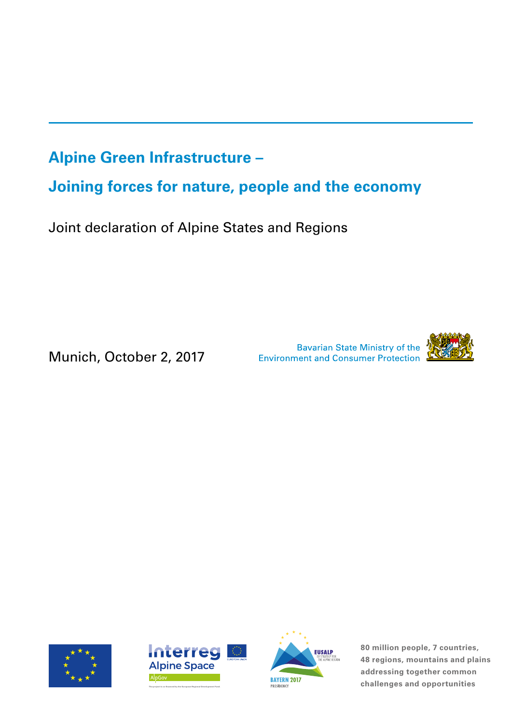# **Alpine Green Infrastructure –**

**Joining forces for nature, people and the economy**

Joint declaration of Alpine States and Regions

Munich, October 2, 2017

Bavarian State Ministry of the<br>Environment and Consumer Protection









**80 million people, 7 countries, 48 regions, mountains and plains addressing together common THE PRESIDENCY CO-FINDER BAYERN 2017**<br>PRESIDENCY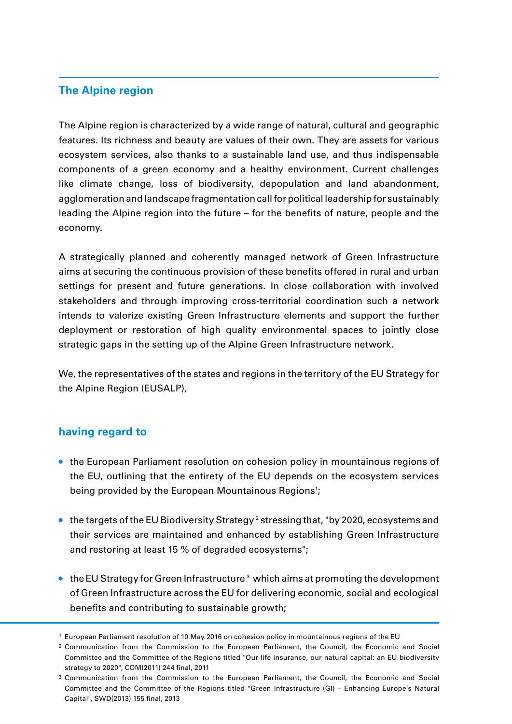## **The Alpine region**

The Alpine region is characterized by a wide range of natural, cultural and geographic features. Its richness and beauty are values of their own. They are assets for various ecosystem services, also thanks to a sustainable land use, and thus indispensable components of a green economy and a healthy environment. Current challenges like climate change, loss of biodiversity, depopulation and land abandonment, agglomeration and landscape fragmentation call for political leadership for sustainably leading the Alpine region into the future – for the benefits of nature, people and the economy.

A strategically planned and coherently managed network of Green Infrastructure aims at securing the continuous provision of these benefits offered in rural and urban settings for present and future generations. In close collaboration with involved stakeholders and through improving cross-territorial coordination such a network intends to valorize existing Green Infrastructure elements and support the further deployment or restoration of high quality environmental spaces to jointly close strategic gaps in the setting up of the Alpine Green Infrastructure network.

We, the representatives of the states and regions in the territory of the EU Strategy for the Alpine Region (EUSALP),

#### **having regard to**

- **•** the European Parliament resolution on cohesion policy in mountainous regions of the EU, outlining that the entirety of the EU depends on the ecosystem services being provided by the European Mountainous Regions<sup>1</sup>;
- $\bullet~$  the targets of the EU Biodiversity Strategy <sup>2</sup> stressing that, "by 2020, ecosystems and their services are maintained and enhanced by establishing Green Infrastructure and restoring at least 15 % of degraded ecosystems";
- **•** the EU Strategy for Green Infrastructure 3 which aims at promoting the development of Green Infrastructure across the EU for delivering economic, social and ecological benefits and contributing to sustainable growth;

<sup>1</sup> European Parliament resolution of 10 May 2016 on cohesion policy in mountainous regions of the EU

<sup>2</sup> Communication from the Commission to the European Parliament, the Council, the Economic and Social Committee and the Committee of the Regions titled "Our life insurance, our natural capital: an EU biodiversity strategy to 2020", COM(2011) 244 final, 2011

<sup>3</sup> Communication from the Commission to the European Parliament, the Council, the Economic and Social Committee and the Committee of the Regions titled "Green Infrastructure (GI) – Enhancing Europe's Natural Capital", SWD(2013) 155 final, 2013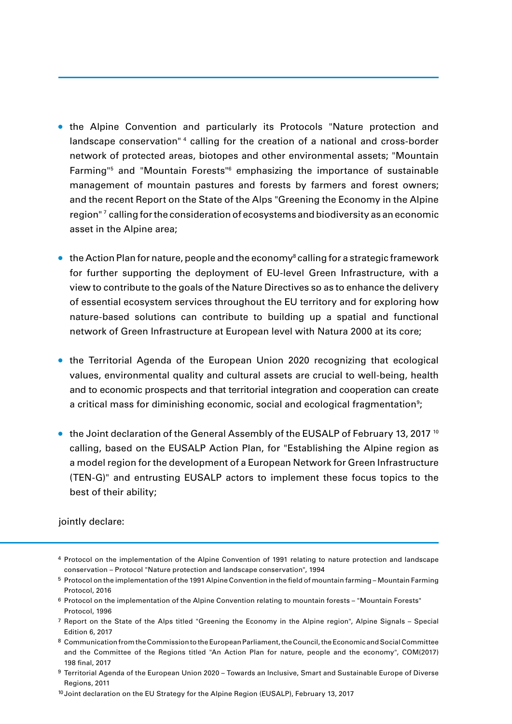- **•** the Alpine Convention and particularly its Protocols "Nature protection and landscape conservation"<sup>4</sup> calling for the creation of a national and cross-border network of protected areas, biotopes and other environmental assets; "Mountain Farming"<sup>5</sup> and "Mountain Forests"<sup>6</sup> emphasizing the importance of sustainable management of mountain pastures and forests by farmers and forest owners; and the recent Report on the State of the Alps "Greening the Economy in the Alpine region"  $^7$  calling for the consideration of ecosystems and biodiversity as an economic asset in the Alpine area;
- **•** the Action Plan for nature, people and the economy<sup>s</sup> calling for a strategic framework for further supporting the deployment of EU-level Green Infrastructure, with a view to contribute to the goals of the Nature Directives so as to enhance the delivery of essential ecosystem services throughout the EU territory and for exploring how nature-based solutions can contribute to building up a spatial and functional network of Green Infrastructure at European level with Natura 2000 at its core;
- **•** the Territorial Agenda of the European Union 2020 recognizing that ecological values, environmental quality and cultural assets are crucial to well-being, health and to economic prospects and that territorial integration and cooperation can create a critical mass for diminishing economic, social and ecological fragmentation<sup>9</sup>;
- the Joint declaration of the General Assembly of the EUSALP of February 13, 2017<sup>10</sup> calling, based on the EUSALP Action Plan, for "Establishing the Alpine region as a model region for the development of a European Network for Green Infrastructure (TEN-G)" and entrusting EUSALP actors to implement these focus topics to the best of their ability;

#### jointly declare:

<sup>4</sup> Protocol on the implementation of the Alpine Convention of 1991 relating to nature protection and landscape conservation – Protocol "Nature protection and landscape conservation", 1994

<sup>5</sup> Protocol on the implementation of the 1991 Alpine Convention in the field of mountain farming – Mountain Farming Protocol, 2016

<sup>6</sup> Protocol on the implementation of the Alpine Convention relating to mountain forests – "Mountain Forests" Protocol, 1996

<sup>7</sup> Report on the State of the Alps titled "Greening the Economy in the Alpine region", Alpine Signals – Special Edition 6, 2017

<sup>8</sup> Communication from the Commission to the European Parliament, the Council, the Economic and Social Committee and the Committee of the Regions titled "An Action Plan for nature, people and the economy", COM(2017) 198 final, 2017

<sup>9</sup> Territorial Agenda of the European Union 2020 - Towards an Inclusive, Smart and Sustainable Europe of Diverse Regions, 2011

<sup>10</sup> Joint declaration on the EU Strategy for the Alpine Region (EUSALP), February 13, 2017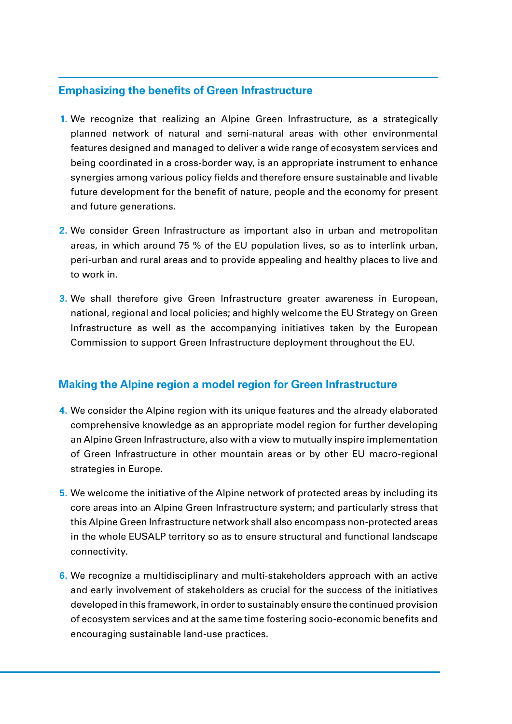### **Emphasizing the benefits of Green Infrastructure**

- We recognize that realizing an Alpine Green Infrastructure, as a strategically **1.** planned network of natural and semi-natural areas with other environmental features designed and managed to deliver a wide range of ecosystem services and being coordinated in a cross-border way, is an appropriate instrument to enhance synergies among various policy fields and therefore ensure sustainable and livable future development for the benefit of nature, people and the economy for present and future generations.
- We consider Green Infrastructure as important also in urban and metropolitan **2.** areas, in which around 75 % of the EU population lives, so as to interlink urban, peri-urban and rural areas and to provide appealing and healthy places to live and to work in.
- We shall therefore give Green Infrastructure greater awareness in European, **3.** national, regional and local policies; and highly welcome the EU Strategy on Green Infrastructure as well as the accompanying initiatives taken by the European Commission to support Green Infrastructure deployment throughout the EU.

# **Making the Alpine region a model region for Green Infrastructure**

- We consider the Alpine region with its unique features and the already elaborated **4.** comprehensive knowledge as an appropriate model region for further developing an Alpine Green Infrastructure, also with a view to mutually inspire implementation of Green Infrastructure in other mountain areas or by other EU macro-regional strategies in Europe.
- We welcome the initiative of the Alpine network of protected areas by including its **5.** core areas into an Alpine Green Infrastructure system; and particularly stress that this Alpine Green Infrastructure network shall also encompass non-protected areas in the whole EUSALP territory so as to ensure structural and functional landscape connectivity.
- We recognize a multidisciplinary and multi-stakeholders approach with an active **6.** and early involvement of stakeholders as crucial for the success of the initiatives developed in this framework, in order to sustainably ensure the continued provision of ecosystem services and at the same time fostering socio-economic benefits and encouraging sustainable land-use practices.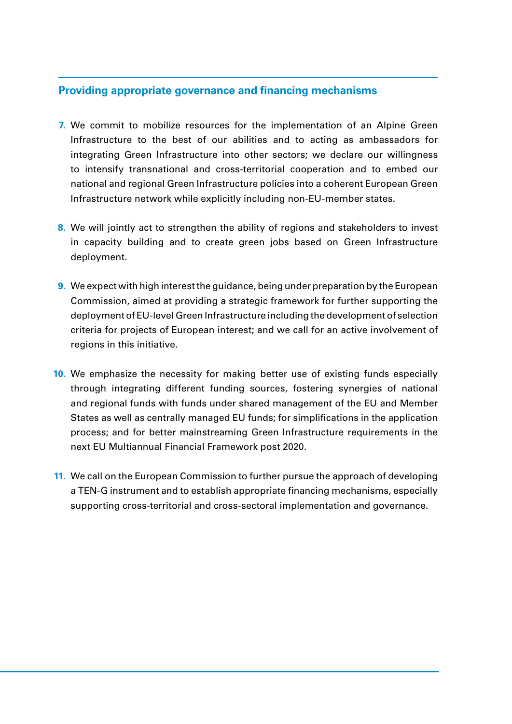#### **Providing appropriate governance and financing mechanisms**

- We commit to mobilize resources for the implementation of an Alpine Green **7.** Infrastructure to the best of our abilities and to acting as ambassadors for integrating Green Infrastructure into other sectors; we declare our willingness to intensify transnational and cross-territorial cooperation and to embed our national and regional Green Infrastructure policies into a coherent European Green Infrastructure network while explicitly including non-EU-member states.
- We will jointly act to strengthen the ability of regions and stakeholders to invest **8.** in capacity building and to create green jobs based on Green Infrastructure deployment.
- We expect with high interest the guidance, being under preparation by the European **9.** Commission, aimed at providing a strategic framework for further supporting the deployment of EU-level Green Infrastructure including the development of selection criteria for projects of European interest; and we call for an active involvement of regions in this initiative.
- **10.** We emphasize the necessity for making better use of existing funds especially through integrating different funding sources, fostering synergies of national and regional funds with funds under shared management of the EU and Member States as well as centrally managed EU funds; for simplifications in the application process; and for better mainstreaming Green Infrastructure requirements in the next EU Multiannual Financial Framework post 2020.
- 11. We call on the European Commission to further pursue the approach of developing a TEN-G instrument and to establish appropriate financing mechanisms, especially supporting cross-territorial and cross-sectoral implementation and governance.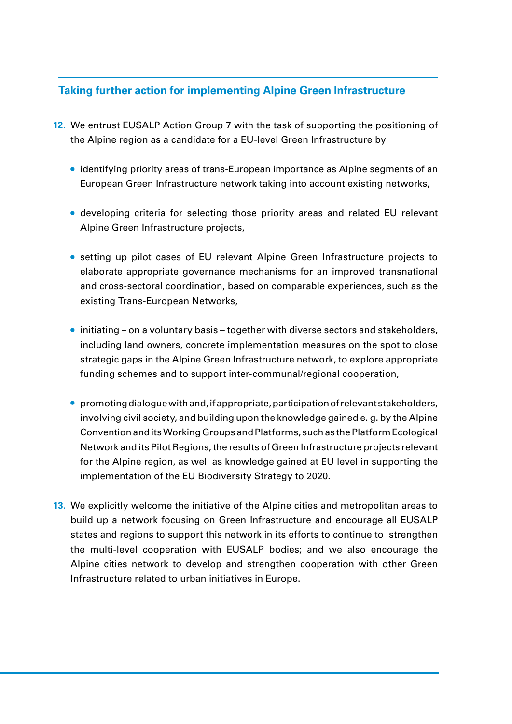# **Taking further action for implementing Alpine Green Infrastructure**

- **12.** We entrust EUSALP Action Group 7 with the task of supporting the positioning of the Alpine region as a candidate for a EU-level Green Infrastructure by
	- **•** identifying priority areas of trans-European importance as Alpine segments of an European Green Infrastructure network taking into account existing networks,
	- **•** developing criteria for selecting those priority areas and related EU relevant Alpine Green Infrastructure projects,
	- **•** setting up pilot cases of EU relevant Alpine Green Infrastructure projects to elaborate appropriate governance mechanisms for an improved transnational and cross-sectoral coordination, based on comparable experiences, such as the existing Trans-European Networks,
	- **•** initiating on a voluntary basis together with diverse sectors and stakeholders, including land owners, concrete implementation measures on the spot to close strategic gaps in the Alpine Green Infrastructure network, to explore appropriate funding schemes and to support inter-communal/regional cooperation,
	- **•** promoting dialogue with and, if appropriate, participation of relevant stakeholders, involving civil society, and building upon the knowledge gained e. g. by the Alpine Convention and its Working Groups and Platforms, such as the Platform Ecological Network and its Pilot Regions, the results of Green Infrastructure projects relevant for the Alpine region, as well as knowledge gained at EU level in supporting the implementation of the EU Biodiversity Strategy to 2020.
- **13.** We explicitly welcome the initiative of the Alpine cities and metropolitan areas to build up a network focusing on Green Infrastructure and encourage all EUSALP states and regions to support this network in its efforts to continue to strengthen the multi-level cooperation with EUSALP bodies; and we also encourage the Alpine cities network to develop and strengthen cooperation with other Green Infrastructure related to urban initiatives in Europe.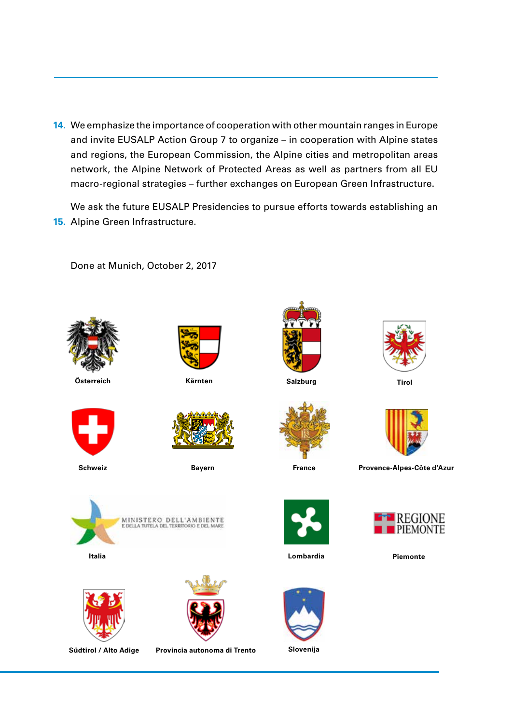14. We emphasize the importance of cooperation with other mountain ranges in Europe and invite EUSALP Action Group 7 to organize – in cooperation with Alpine states and regions, the European Commission, the Alpine cities and metropolitan areas network, the Alpine Network of Protected Areas as well as partners from all EU macro-regional strategies – further exchanges on European Green Infrastructure.

We ask the future EUSALP Presidencies to pursue efforts towards establishing an **15.** Alpine Green Infrastructure.



Done at Munich, October 2, 2017